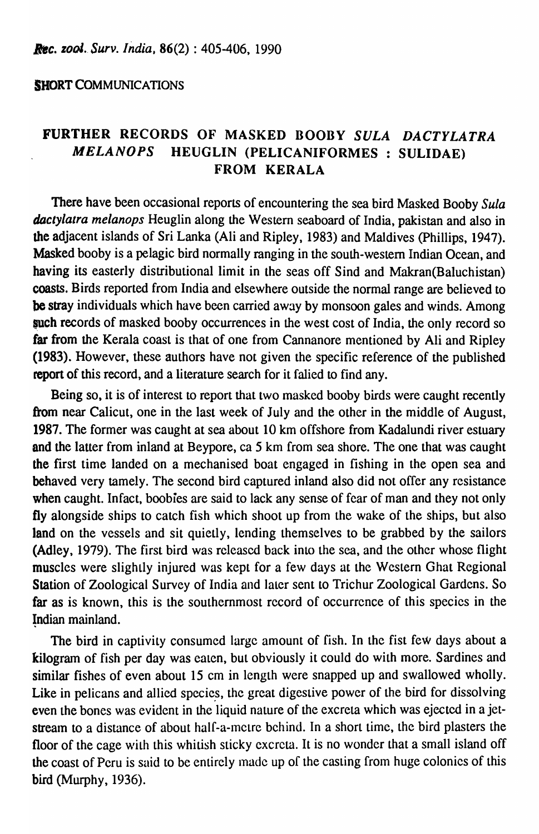## **SHORT COMMUNICATIONS**

## FURTHER RECORDS OF MASKED BOOBY *SULA DACTYLATRA MELANOPS* HEUGLIN (PELICANIFORMES : SULIDAE) FROM KERALA

There have been occasional reports of encountering the sea bird Masked Booby *Sula dactylatra melanops* Heuglin along the Western seaboard of India, pakistan and also in the adjacent islands of Sri Lanka (Ali and Ripley, 1983) and Maldives (Phillips, 1947). Masked booby is a pelagic bird normally ranging in the south-western Indian Ocean, and having its easterly distributional limit in the seas off Sind and Makran(Baluchistan) coasts. Birds reported from India and elsewhere outside the normal range are believed to be stray individuals which have been carried away by monsoon gales and winds. Among such records of masked booby occurrences in the west cost of India, the only record so far from the Kerala coast is that of one from Cannanore mentioned by Ali and Ripley (1983). However, these authors have not given the specific reference of the published report of this record, and a literature search for it falied to find any.

Being so, it is of interest to report that two masked booby birds were caught recently from near Calicut, one in the last week of July and the other in the middle of August, 1987. The former was caught at sea about 10 km offshore from Kadalundi river estuary and the latter from inland at Beypore, ca 5 km from sea shore. The one that was caught the first time landed on a mechanised boat engaged in fishing in the open sea and behaved very tamely. The second bird captured inland also did not offer any resistance when caught. Infact, boobies are said to lack any sense of fear of man and they not only fly alongside ships to catch fish which shoot up from the wake of the ships, but also land on the vessels and sit quietly, lending themselves to be grabbed by the sailors (Adley, 1979). The first bird was released back into the sea, and the other whose flight muscles were slightly injured was kept for a few days at the Western Ghat Regional Station of Zoological Survey of India and later sent to Trichur Zoological Gardens. So far as is known, this is the southernmost record of occurrence of this species in the Indian mainland.

The bird in captivity consumed large amount of fish. In the fist few days about a kilogram of fish per day was eaten, but obviously it could do with more. Sardines and similar fishes of even about 15 cm in length were snapped up and swallowed wholly. Like in pelicans and allied species, the great digestive power of the bird for dissolving even the bones was evident in the liquid nature of the excreta which was ejected in a jetstream to a distance of about half-a-metre behind. In a short time, the bird plasters the floor of the cage with this whitish sticky excreta. It is no wonder that a small island off the coast of Peru is said to be entirely made up of the casting from huge colonics of this bird (Murphy, 1936).